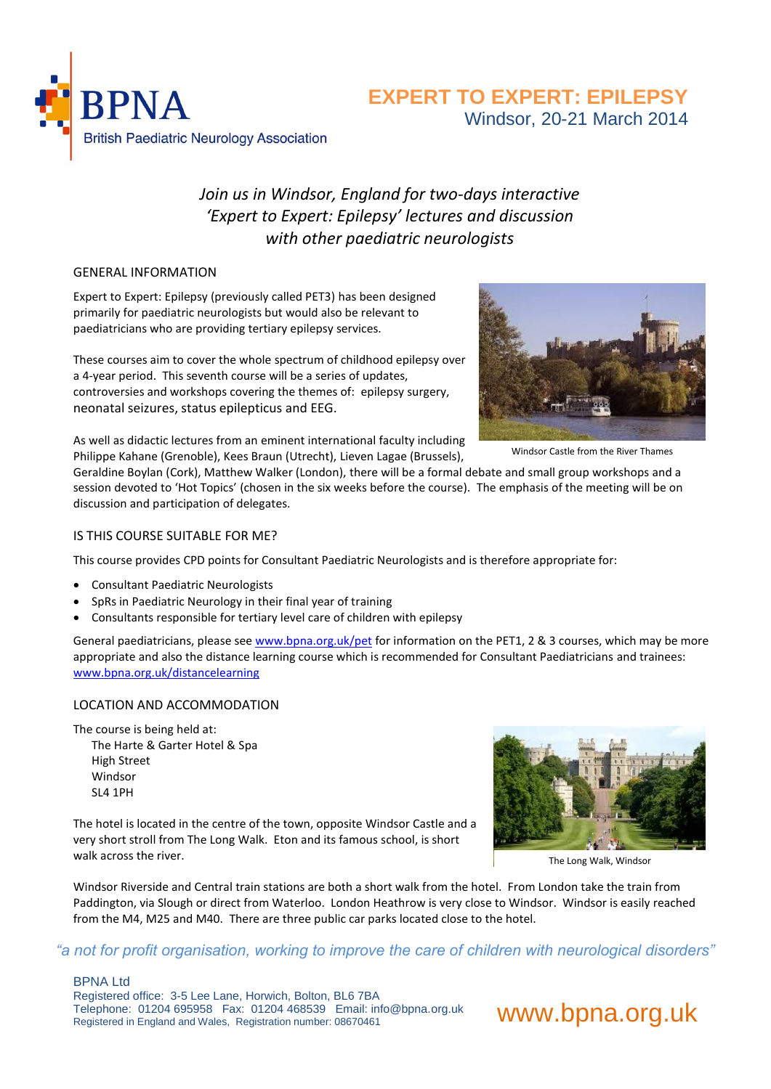

## **EXPERT TO EXPERT: EPILEPSY** Windsor, 20-21 March 2014

# *Join us in Windsor, England for two-days interactive 'Expert to Expert: Epilepsy' lectures and discussion with other paediatric neurologists*

#### GENERAL INFORMATION

Expert to Expert: Epilepsy (previously called PET3) has been designed primarily for paediatric neurologists but would also be relevant to paediatricians who are providing tertiary epilepsy services.

These courses aim to cover the whole spectrum of childhood epilepsy over a 4-year period. This seventh course will be a series of updates, controversies and workshops covering the themes of: epilepsy surgery, neonatal seizures, status epilepticus and EEG.

As well as didactic lectures from an eminent international faculty including Philippe Kahane (Grenoble), Kees Braun (Utrecht), Lieven Lagae (Brussels),

Geraldine Boylan (Cork), Matthew Walker (London), there will be a formal debate and small group workshops and a session devoted to 'Hot Topics' (chosen in the six weeks before the course). The emphasis of the meeting will be on discussion and participation of delegates.

#### IS THIS COURSE SUITABLE FOR ME?

This course provides CPD points for Consultant Paediatric Neurologists and is therefore appropriate for:

- Consultant Paediatric Neurologists
- SpRs in Paediatric Neurology in their final year of training
- Consultants responsible for tertiary level care of children with epilepsy

General paediatricians, please see [www.bpna.org.uk/pet](http://www.bpna.org.uk/pet) for information on the PET1, 2 & 3 courses, which may be more appropriate and also the distance learning course which is recommended for Consultant Paediatricians and trainees: [www.bpna.org.uk/distancelearning](http://www.bpna.org.uk/distancelearning)

#### LOCATION AND ACCOMMODATION

The course is being held at:

The Harte & Garter Hotel & Spa High Street Windsor SL4 1PH

The hotel is located in the centre of the town, opposite Windsor Castle and a very short stroll from The Long Walk. Eton and its famous school, is short walk across the river.



The Long Walk, Windsor

Windsor Riverside and Central train stations are both a short walk from the hotel. From London take the train from Paddington, via Slough or direct from Waterloo. London Heathrow is very close to Windsor. Windsor is easily reached from the M4, M25 and M40. There are three public car parks located close to the hotel.

### *"a not for profit organisation, working to improve the care of children with neurological disorders"*

#### BPNA Ltd

Registered office: 3-5 Lee Lane, Horwich, Bolton, BL6 7BA Telephone: 01204 695958 Fax: 01204 468539 Email: info@bpna.org.uk



Windsor Castle from the River Thames

www.bpna.org.uk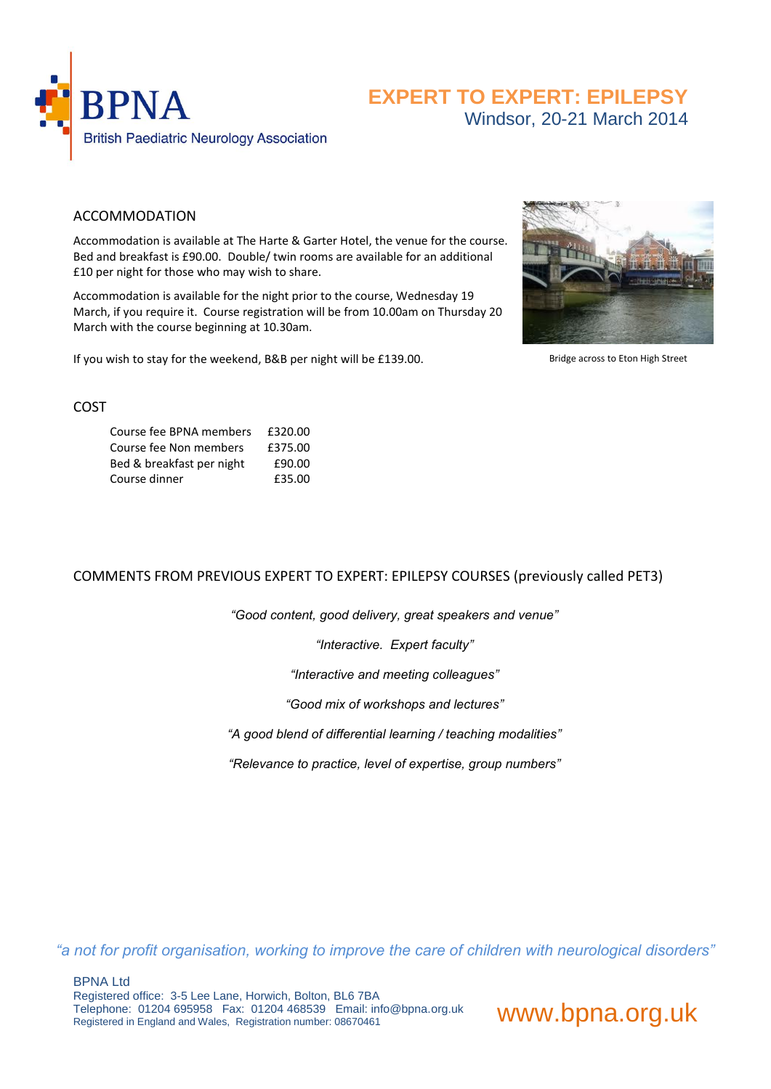

## **EXPERT TO EXPERT: EPILEPSY** Windsor, 20-21 March 2014

### ACCOMMODATION

Accommodation is available at The Harte & Garter Hotel, the venue for the course. Bed and breakfast is £90.00. Double/ twin rooms are available for an additional £10 per night for those who may wish to share.

Accommodation is available for the night prior to the course, Wednesday 19 March, if you require it. Course registration will be from 10.00am on Thursday 20 March with the course beginning at 10.30am.

If you wish to stay for the weekend, B&B per night will be £139.00.



Bridge across to Eton High Street

#### COST

| Course fee BPNA members   | £320.00 |
|---------------------------|---------|
| Course fee Non members    | £375.00 |
| Bed & breakfast per night | £90.00  |
| Course dinner             | £35.00  |

### COMMENTS FROM PREVIOUS EXPERT TO EXPERT: EPILEPSY COURSES (previously called PET3)

*"Good content, good delivery, great speakers and venue"*

*"Interactive. Expert faculty"*

*"Interactive and meeting colleagues"*

*"Good mix of workshops and lectures"*

*"A good blend of differential learning / teaching modalities"*

*"Relevance to practice, level of expertise, group numbers"*

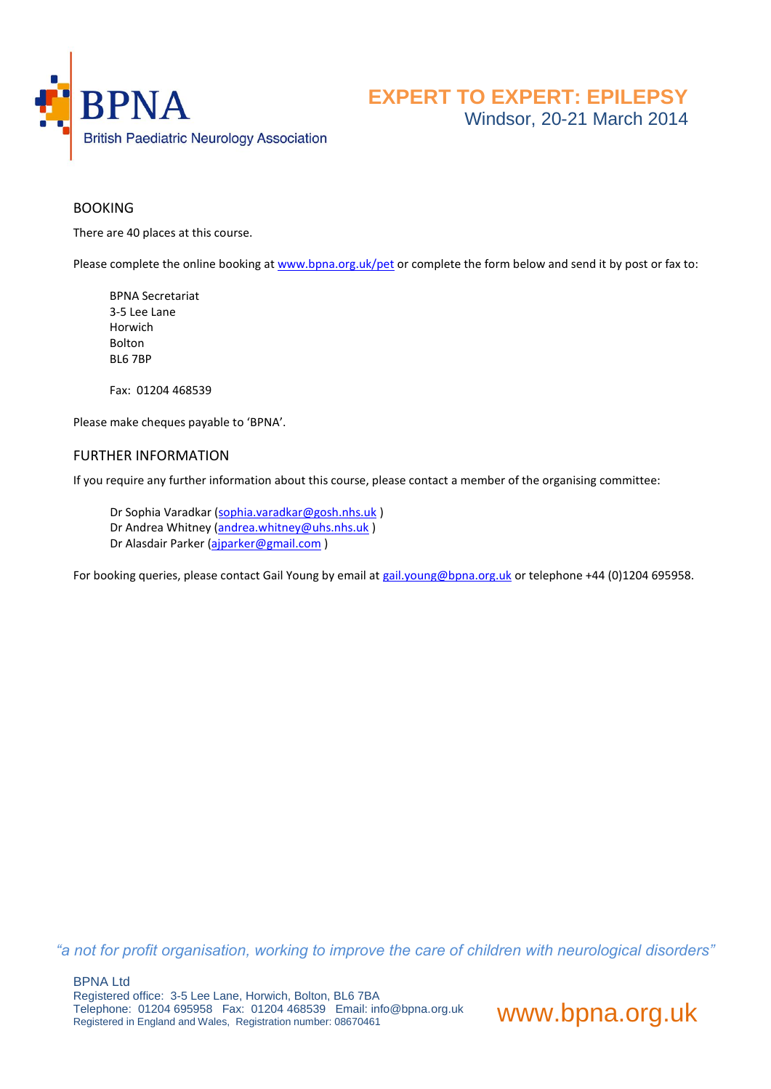

### **BOOKING**

There are 40 places at this course.

Please complete the online booking a[t www.bpna.org.uk/pet](http://www.bpna.org.uk/pet) or complete the form below and send it by post or fax to:

BPNA Secretariat 3-5 Lee Lane Horwich Bolton BL6 7BP

Fax: 01204 468539

Please make cheques payable to 'BPNA'.

#### FURTHER INFORMATION

If you require any further information about this course, please contact a member of the organising committee:

- Dr Sophia Varadkar [\(sophia.varadkar@gosh.nhs.uk](mailto:sophia.Varadkar@gosh.nhs.uk)) Dr Andrea Whitney [\(andrea.whitney@uhs.nhs.uk](mailto:andrea.whitney@uhs.nhs.uk))
- Dr Alasdair Parker [\(ajparker@gmail.com](mailto:ajparker@gmail.com) )

For booking queries, please contact Gail Young by email at [gail.young@bpna.org.uk](mailto:gail.young@bpna.org.uk) or telephone +44 (0)1204 695958.

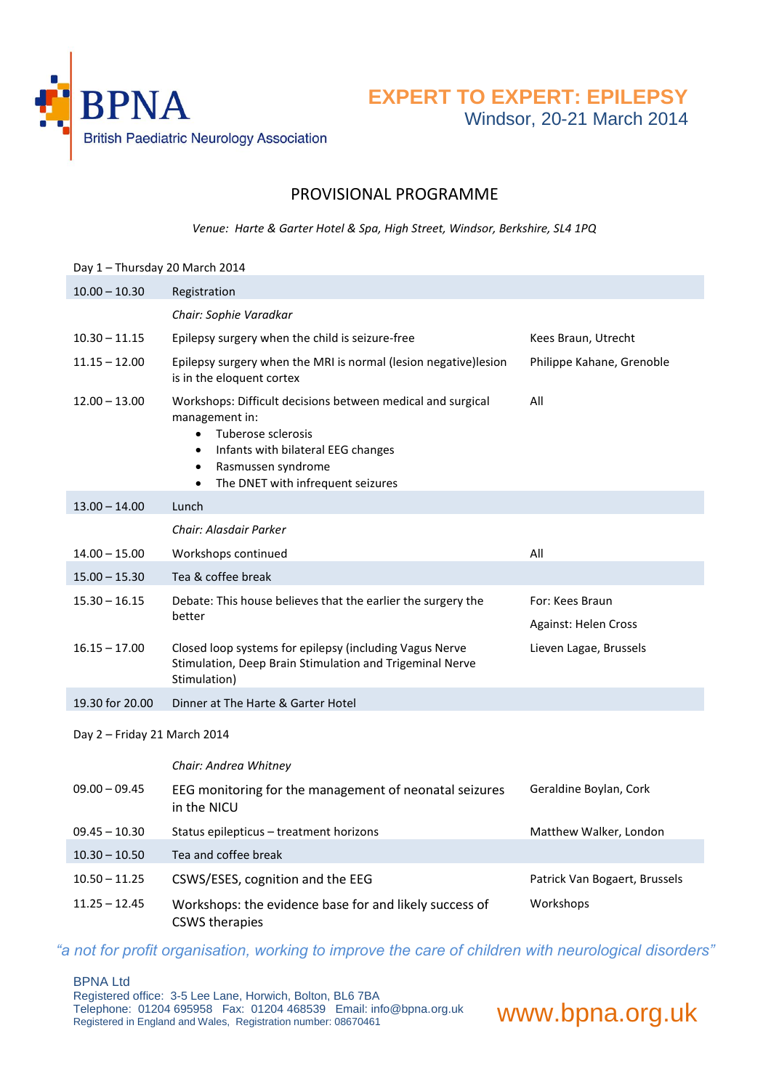

**EXPERT TO EXPERT: EPILEPSY**

Windsor, 20-21 March 2014

## PROVISIONAL PROGRAMME

*Venue: Harte & Garter Hotel & Spa, High Street, Windsor, Berkshire, SL4 1PQ*

| Day 1 - Thursday 20 March 2014 |                                                                                                                                                                                                                                                          |                                         |  |
|--------------------------------|----------------------------------------------------------------------------------------------------------------------------------------------------------------------------------------------------------------------------------------------------------|-----------------------------------------|--|
| $10.00 - 10.30$                | Registration                                                                                                                                                                                                                                             |                                         |  |
|                                | Chair: Sophie Varadkar                                                                                                                                                                                                                                   |                                         |  |
| $10.30 - 11.15$                | Epilepsy surgery when the child is seizure-free                                                                                                                                                                                                          | Kees Braun, Utrecht                     |  |
| $11.15 - 12.00$                | Epilepsy surgery when the MRI is normal (lesion negative)lesion<br>is in the eloquent cortex                                                                                                                                                             | Philippe Kahane, Grenoble               |  |
| $12.00 - 13.00$                | Workshops: Difficult decisions between medical and surgical<br>management in:<br>Tuberose sclerosis<br>$\bullet$<br>Infants with bilateral EEG changes<br>$\bullet$<br>Rasmussen syndrome<br>$\bullet$<br>The DNET with infrequent seizures<br>$\bullet$ | All                                     |  |
| $13.00 - 14.00$                | Lunch                                                                                                                                                                                                                                                    |                                         |  |
|                                | Chair: Alasdair Parker                                                                                                                                                                                                                                   |                                         |  |
| $14.00 - 15.00$                | Workshops continued                                                                                                                                                                                                                                      | All                                     |  |
| $15.00 - 15.30$                | Tea & coffee break                                                                                                                                                                                                                                       |                                         |  |
| $15.30 - 16.15$                | Debate: This house believes that the earlier the surgery the<br>better                                                                                                                                                                                   | For: Kees Braun<br>Against: Helen Cross |  |
| $16.15 - 17.00$                | Closed loop systems for epilepsy (including Vagus Nerve<br>Stimulation, Deep Brain Stimulation and Trigeminal Nerve<br>Stimulation)                                                                                                                      | Lieven Lagae, Brussels                  |  |
| 19.30 for 20.00                | Dinner at The Harte & Garter Hotel                                                                                                                                                                                                                       |                                         |  |
| Day 2 - Friday 21 March 2014   |                                                                                                                                                                                                                                                          |                                         |  |
|                                | Chair: Andrea Whitney                                                                                                                                                                                                                                    |                                         |  |
| $09.00 - 09.45$                | EEG monitoring for the management of neonatal seizures<br>in the NICU                                                                                                                                                                                    | Geraldine Boylan, Cork                  |  |
| $09.45 - 10.30$                | Status epilepticus - treatment horizons                                                                                                                                                                                                                  | Matthew Walker, London                  |  |
| $10.30 - 10.50$                | Tea and coffee break                                                                                                                                                                                                                                     |                                         |  |
| $10.50 - 11.25$                | CSWS/ESES, cognition and the EEG                                                                                                                                                                                                                         | Patrick Van Bogaert, Brussels           |  |
| $11.25 - 12.45$                | Workshops: the evidence base for and likely success of<br><b>CSWS</b> therapies                                                                                                                                                                          | Workshops                               |  |

*"a not for profit organisation, working to improve the care of children with neurological disorders"*

#### BPNA Ltd

Registered office: 3-5 Lee Lane, Horwich, Bolton, BL6 7BA Telephone: 01204 695958 Fax: 01204 468539 Email: info@bpna.org.uk

www.bpna.org.uk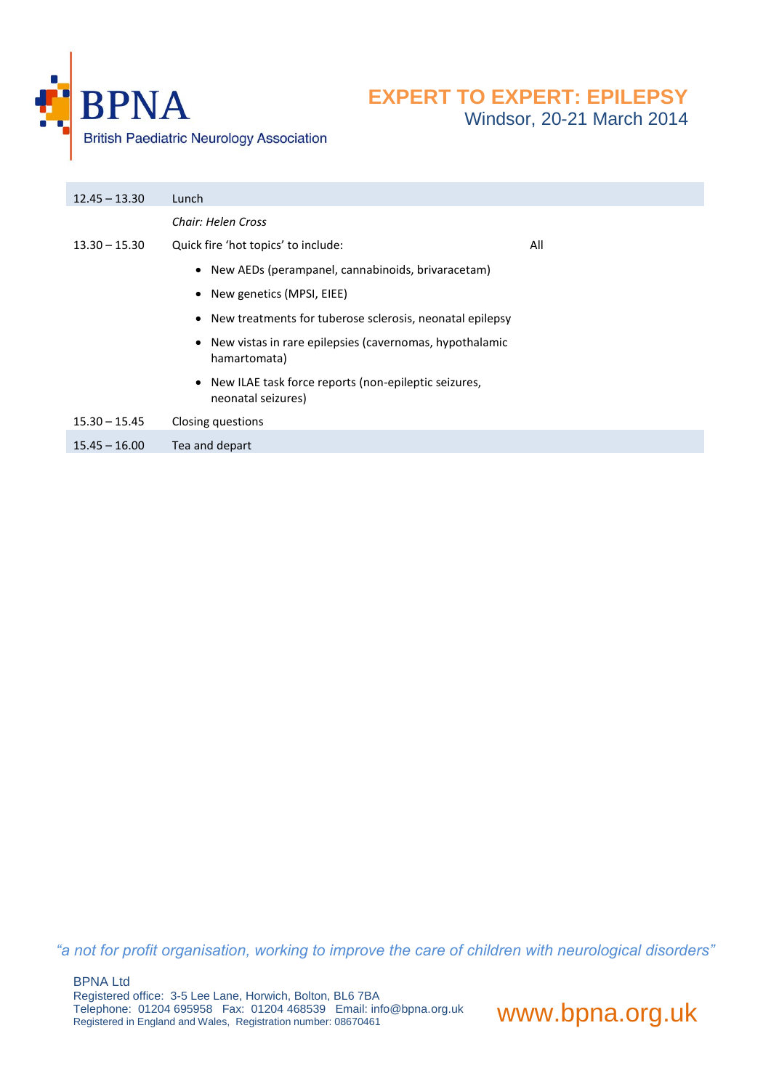

| Chair: Helen Cross                                                           |  |
|------------------------------------------------------------------------------|--|
| Quick fire 'hot topics' to include:<br>$13.30 - 15.30$<br>All                |  |
| • New AEDs (perampanel, cannabinoids, brivaracetam)                          |  |
| • New genetics (MPSI, EIEE)                                                  |  |
| • New treatments for tuberose sclerosis, neonatal epilepsy                   |  |
| • New vistas in rare epilepsies (cavernomas, hypothalamic<br>hamartomata)    |  |
| • New ILAE task force reports (non-epileptic seizures,<br>neonatal seizures) |  |
| $15.30 - 15.45$<br>Closing questions                                         |  |
| Tea and depart<br>$15.45 - 16.00$                                            |  |

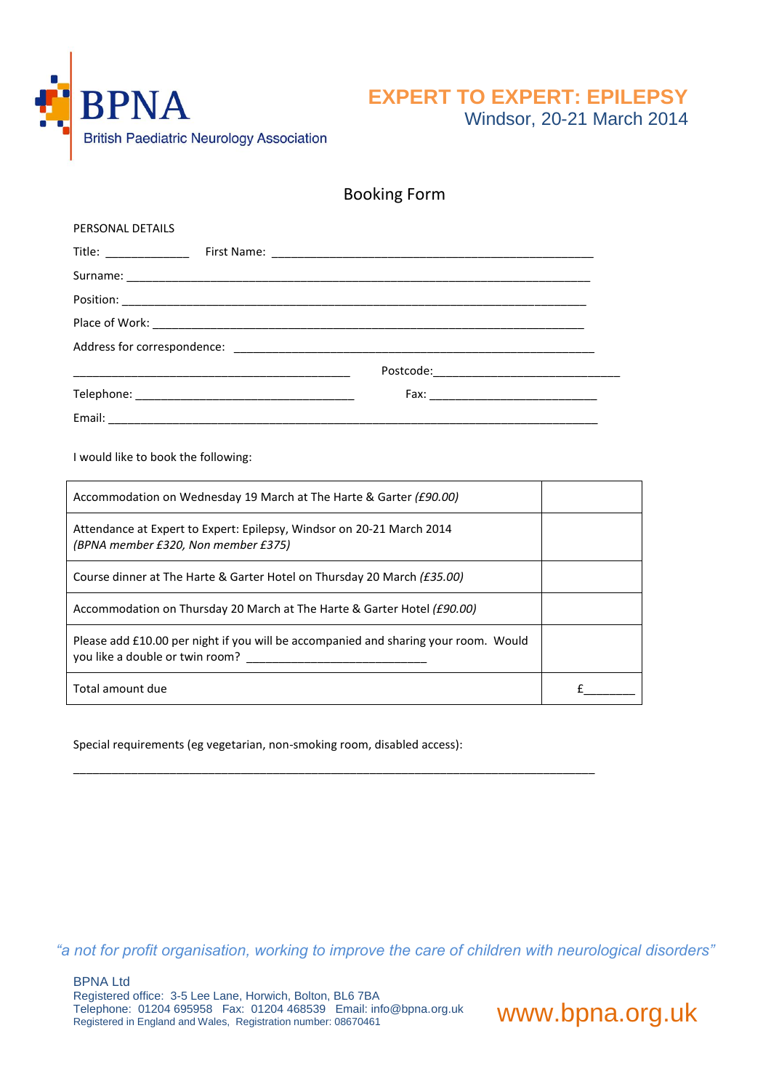

Windsor, 20-21 March 2014

| <b>Booking Form</b> |  |
|---------------------|--|
|---------------------|--|

| PERSONAL DETAILS                                                                                             |   |  |
|--------------------------------------------------------------------------------------------------------------|---|--|
|                                                                                                              |   |  |
|                                                                                                              |   |  |
|                                                                                                              |   |  |
|                                                                                                              |   |  |
|                                                                                                              |   |  |
|                                                                                                              |   |  |
|                                                                                                              |   |  |
|                                                                                                              |   |  |
| I would like to book the following:                                                                          |   |  |
| Accommodation on Wednesday 19 March at The Harte & Garter (£90.00)                                           |   |  |
| Attendance at Expert to Expert: Epilepsy, Windsor on 20-21 March 2014<br>(BPNA member £320, Non member £375) |   |  |
| Course dinner at The Harte & Garter Hotel on Thursday 20 March (£35.00)                                      |   |  |
| Accommodation on Thursday 20 March at The Harte & Garter Hotel (£90.00)                                      |   |  |
| Please add £10.00 per night if you will be accompanied and sharing your room. Would                          |   |  |
| Total amount due                                                                                             | £ |  |

\_\_\_\_\_\_\_\_\_\_\_\_\_\_\_\_\_\_\_\_\_\_\_\_\_\_\_\_\_\_\_\_\_\_\_\_\_\_\_\_\_\_\_\_\_\_\_\_\_\_\_\_\_\_\_\_\_\_\_\_\_\_\_\_\_\_\_\_\_\_\_\_\_\_\_\_\_\_\_\_\_

Special requirements (eg vegetarian, non-smoking room, disabled access):